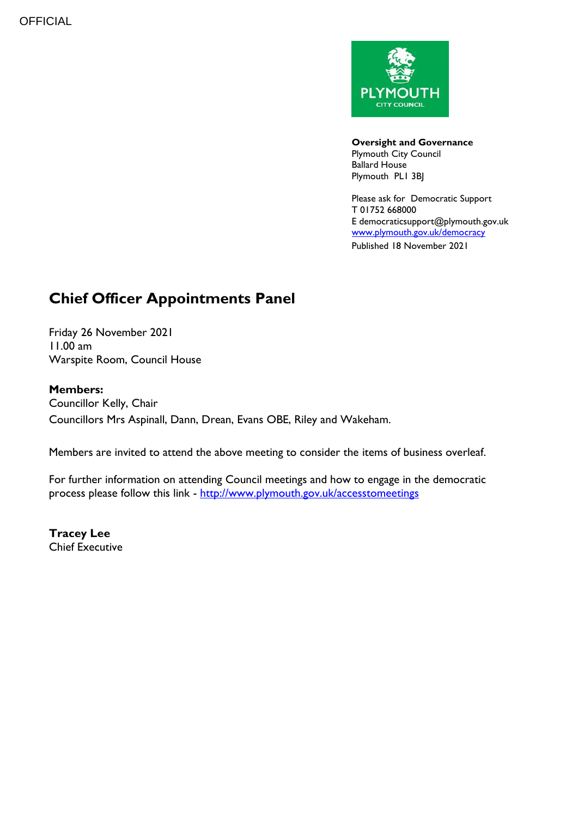

**Oversight and Governance** Plymouth City Council Ballard House Plymouth PL1 3BJ

Please ask for Democratic Support T 01752 668000 E democraticsupport@plymouth.gov.uk [www.plymouth.gov.uk/](http://www.plymouth.gov.uk/)democracy Published 18 November 2021

# **Chief Officer Appointments Panel**

Friday 26 November 2021 11.00 am Warspite Room, Council House

## **Members:**

Councillor Kelly, Chair Councillors Mrs Aspinall, Dann, Drean, Evans OBE, Riley and Wakeham.

Members are invited to attend the above meeting to consider the items of business overleaf.

For further information on attending Council meetings and how to engage in the democratic process please follow this link - <http://www.plymouth.gov.uk/accesstomeetings>

**Tracey Lee** Chief Executive